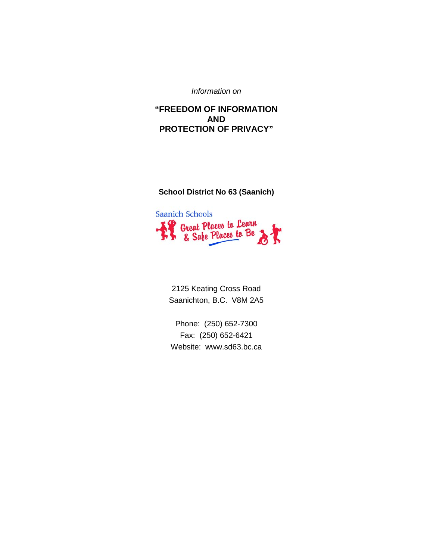*Information on*

# **"FREEDOM OF INFORMATION AND PROTECTION OF PRIVACY"**

# **School District No 63 (Saanich)**



2125 Keating Cross Road Saanichton, B.C. V8M 2A5

Phone: (250) 652-7300 Fax: (250) 652-6421 Website: www.sd63.bc.ca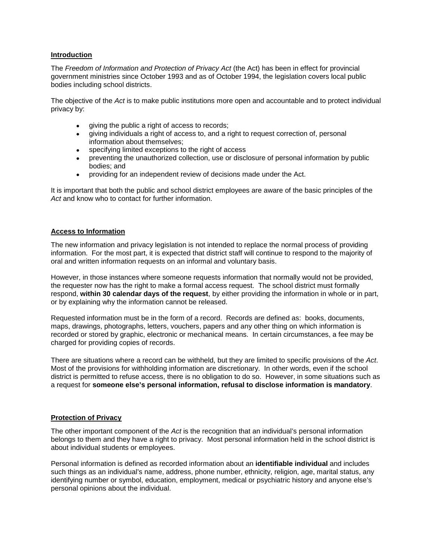### **Introduction**

The *Freedom of Information and Protection of Privacy Act* (the Act) has been in effect for provincial government ministries since October 1993 and as of October 1994, the legislation covers local public bodies including school districts.

The objective of the *Act* is to make public institutions more open and accountable and to protect individual privacy by:

- giving the public a right of access to records;
- giving individuals a right of access to, and a right to request correction of, personal information about themselves;
- specifying limited exceptions to the right of access
- preventing the unauthorized collection, use or disclosure of personal information by public bodies; and
- providing for an independent review of decisions made under the Act.

It is important that both the public and school district employees are aware of the basic principles of the *Act* and know who to contact for further information.

# **Access to Information**

The new information and privacy legislation is not intended to replace the normal process of providing information. For the most part, it is expected that district staff will continue to respond to the majority of oral and written information requests on an informal and voluntary basis.

However, in those instances where someone requests information that normally would not be provided, the requester now has the right to make a formal access request. The school district must formally respond, **within 30 calendar days of the request**, by either providing the information in whole or in part, or by explaining why the information cannot be released.

Requested information must be in the form of a record. Records are defined as: books, documents, maps, drawings, photographs, letters, vouchers, papers and any other thing on which information is recorded or stored by graphic, electronic or mechanical means. In certain circumstances, a fee may be charged for providing copies of records.

There are situations where a record can be withheld, but they are limited to specific provisions of the *Act*. Most of the provisions for withholding information are discretionary. In other words, even if the school district is permitted to refuse access, there is no obligation to do so. However, in some situations such as a request for **someone else's personal information, refusal to disclose information is mandatory**.

### **Protection of Privacy**

The other important component of the *Act* is the recognition that an individual's personal information belongs to them and they have a right to privacy. Most personal information held in the school district is about individual students or employees.

Personal information is defined as recorded information about an **identifiable individual** and includes such things as an individual's name, address, phone number, ethnicity, religion, age, marital status, any identifying number or symbol, education, employment, medical or psychiatric history and anyone else's personal opinions about the individual.